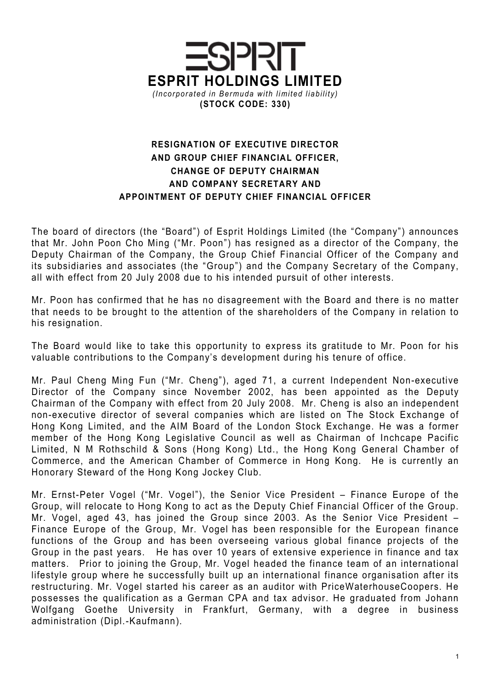

## RESIGNATION OF EXECUTIVE DIRECTOR AND GROUP CHIEF FINANCIAL OFFICER, CHANGE OF DEPUTY CHAIRMAN AND COMPANY SECRETARY AND APPOINTMENT OF DEPUTY CHIEF FINANCIAL OFFICER

The board of directors (the "Board") of Esprit Holdings Limited (the "Company") announces that Mr. John Poon Cho Ming ("Mr. Poon") has resigned as a director of the Company, the Deputy Chairman of the Company, the Group Chief Financial Officer of the Company and its subsidiaries and associates (the "Group") and the Company Secretary of the Company, all with effect from 20 July 2008 due to his intended pursuit of other interests.

Mr. Poon has confirmed that he has no disagreement with the Board and there is no matter that needs to be brought to the attention of the shareholders of the Company in relation to his resignation.

The Board would like to take this opportunity to express its gratitude to Mr. Poon for his valuable contributions to the Company's development during his tenure of office.

Mr. Paul Cheng Ming Fun ("Mr. Cheng"), aged 71, a current Independent Non-executive Director of the Company since November 2002, has been appointed as the Deputy Chairman of the Company with effect from 20 July 2008. Mr. Cheng is also an independent non-executive director of several companies which are listed on The Stock Exchange of Hong Kong Limited, and the AIM Board of the London Stock Exchange. He was a former member of the Hong Kong Legislative Council as well as Chairman of Inchcape Pacific Limited, N M Rothschild & Sons (Hong Kong) Ltd., the Hong Kong General Chamber of Commerce, and the American Chamber of Commerce in Hong Kong. He is currently an Honorary Steward of the Hong Kong Jockey Club.

Mr. Ernst-Peter Vogel ("Mr. Vogel"), the Senior Vice President – Finance Europe of the Group, will relocate to Hong Kong to act as the Deputy Chief Financial Officer of the Group. Mr. Vogel, aged 43, has joined the Group since 2003. As the Senior Vice President – Finance Europe of the Group, Mr. Vogel has been responsible for the European finance functions of the Group and has been overseeing various global finance projects of the Group in the past years. He has over 10 years of extensive experience in finance and tax matters. Prior to joining the Group, Mr. Vogel headed the finance team of an international lifestyle group where he successfully built up an international finance organisation after its restructuring. Mr. Vogel started his career as an auditor with PriceWaterhouseCoopers. He possesses the qualification as a German CPA and tax advisor. He graduated from Johann Wolfgang Goethe University in Frankfurt, Germany, with a degree in business administration (Dipl.-Kaufmann).